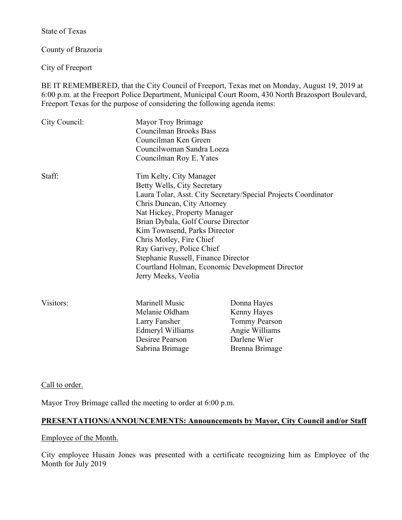State of Texas

County of Brazoria

City of Freeport

BE IT REMEMBERED, that the City Council of Freeport, Texas met on Monday, August 19, 2019 at 6:00 p.m. at the Freeport Police Department, Municipal Court Room, 430 North Brazosport Boulevard, Freeport Texas for the purpose of considering the following agenda items:

| City Council: | Mayor Troy Brimage<br><b>Councilman Brooks Bass</b><br>Councilman Ken Green<br>Councilwoman Sandra Loeza<br>Councilman Roy E. Yates                                                                                                                                                                                |                                                                                                                   |
|---------------|--------------------------------------------------------------------------------------------------------------------------------------------------------------------------------------------------------------------------------------------------------------------------------------------------------------------|-------------------------------------------------------------------------------------------------------------------|
| Staff:        | Tim Kelty, City Manager<br>Betty Wells, City Secretary<br>Chris Duncan, City Attorney<br>Nat Hickey, Property Manager<br>Brian Dybala, Golf Course Director<br>Kim Townsend, Parks Director<br>Chris Motley, Fire Chief<br>Ray Garivey, Police Chief<br>Stephanie Russell, Finance Director<br>Jerry Meeks, Veolia | Laura Tolar, Asst. City Secretary/Special Projects Coordinator<br>Courtland Holman, Economic Development Director |
| Visitors:     | Marinell Music<br>Melanie Oldham<br>Larry Fansher<br>Edmeryl Williams<br>Desiree Pearson<br>Sabrina Brimage                                                                                                                                                                                                        | Donna Hayes<br>Kenny Hayes<br><b>Tommy Pearson</b><br>Angie Williams<br>Darlene Wier<br>Brenna Brimage            |

Call to order.

Mayor Troy Brimage called the meeting to order at 6:00 p.m.

## **PRESENTATIONS/ANNOUNCEMENTS: Announcements by Mayor, City Council and/or Staff**

#### Employee of the Month.

City employee Husain Jones was presented with a certificate recognizing him as Employee of the Month for July 2019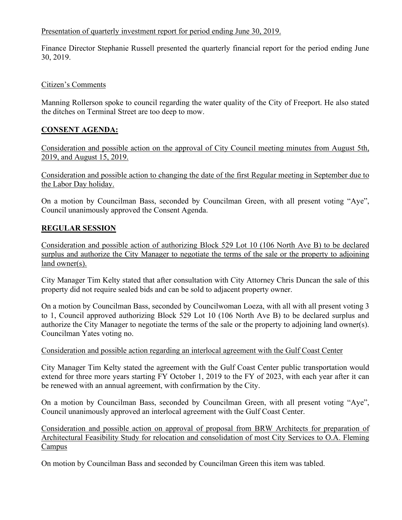## Presentation of quarterly investment report for period ending June 30, 2019.

Finance Director Stephanie Russell presented the quarterly financial report for the period ending June 30, 2019.

## Citizen's Comments

Manning Rollerson spoke to council regarding the water quality of the City of Freeport. He also stated the ditches on Terminal Street are too deep to mow.

# **CONSENT AGENDA:**

Consideration and possible action on the approval of City Council meeting minutes from August 5th, 2019, and August 15, 2019.

Consideration and possible action to changing the date of the first Regular meeting in September due to the Labor Day holiday.

On a motion by Councilman Bass, seconded by Councilman Green, with all present voting "Aye", Council unanimously approved the Consent Agenda.

# **REGULAR SESSION**

Consideration and possible action of authorizing Block 529 Lot 10 (106 North Ave B) to be declared surplus and authorize the City Manager to negotiate the terms of the sale or the property to adjoining land owner(s).

City Manager Tim Kelty stated that after consultation with City Attorney Chris Duncan the sale of this property did not require sealed bids and can be sold to adjacent property owner.

On a motion by Councilman Bass, seconded by Councilwoman Loeza, with all with all present voting 3 to 1, Council approved authorizing Block 529 Lot 10 (106 North Ave B) to be declared surplus and authorize the City Manager to negotiate the terms of the sale or the property to adjoining land owner(s). Councilman Yates voting no.

# Consideration and possible action regarding an interlocal agreement with the Gulf Coast Center

City Manager Tim Kelty stated the agreement with the Gulf Coast Center public transportation would extend for three more years starting FY October 1, 2019 to the FY of 2023, with each year after it can be renewed with an annual agreement, with confirmation by the City.

On a motion by Councilman Bass, seconded by Councilman Green, with all present voting "Aye", Council unanimously approved an interlocal agreement with the Gulf Coast Center.

Consideration and possible action on approval of proposal from BRW Architects for preparation of Architectural Feasibility Study for relocation and consolidation of most City Services to O.A. Fleming Campus

On motion by Councilman Bass and seconded by Councilman Green this item was tabled.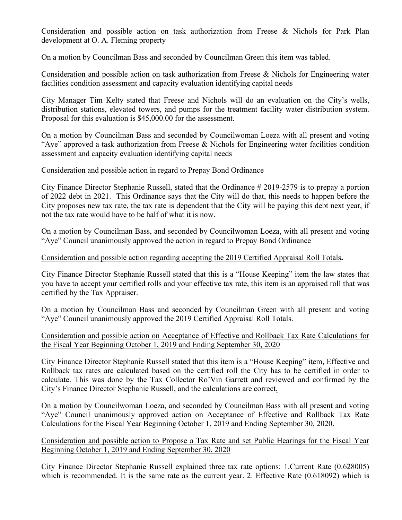Consideration and possible action on task authorization from Freese & Nichols for Park Plan development at O. A. Fleming property

On a motion by Councilman Bass and seconded by Councilman Green this item was tabled.

Consideration and possible action on task authorization from Freese & Nichols for Engineering water facilities condition assessment and capacity evaluation identifying capital needs

City Manager Tim Kelty stated that Freese and Nichols will do an evaluation on the City's wells, distribution stations, elevated towers, and pumps for the treatment facility water distribution system. Proposal for this evaluation is \$45,000.00 for the assessment.

On a motion by Councilman Bass and seconded by Councilwoman Loeza with all present and voting "Aye" approved a task authorization from Freese & Nichols for Engineering water facilities condition assessment and capacity evaluation identifying capital needs

### Consideration and possible action in regard to Prepay Bond Ordinance

City Finance Director Stephanie Russell, stated that the Ordinance # 2019-2579 is to prepay a portion of 2022 debt in 2021. This Ordinance says that the City will do that, this needs to happen before the City proposes new tax rate, the tax rate is dependent that the City will be paying this debt next year, if not the tax rate would have to be half of what it is now.

On a motion by Councilman Bass, and seconded by Councilwoman Loeza, with all present and voting "Aye" Council unanimously approved the action in regard to Prepay Bond Ordinance

#### Consideration and possible action regarding accepting the 2019 Certified Appraisal Roll Totals**.**

City Finance Director Stephanie Russell stated that this is a "House Keeping" item the law states that you have to accept your certified rolls and your effective tax rate, this item is an appraised roll that was certified by the Tax Appraiser.

On a motion by Councilman Bass and seconded by Councilman Green with all present and voting "Aye" Council unanimously approved the 2019 Certified Appraisal Roll Totals.

### Consideration and possible action on Acceptance of Effective and Rollback Tax Rate Calculations for the Fiscal Year Beginning October 1, 2019 and Ending September 30, 2020

City Finance Director Stephanie Russell stated that this item is a "House Keeping" item, Effective and Rollback tax rates are calculated based on the certified roll the City has to be certified in order to calculate. This was done by the Tax Collector Ro'Vin Garrett and reviewed and confirmed by the City's Finance Director Stephanie Russell, and the calculations are correct.

On a motion by Councilwoman Loeza, and seconded by Councilman Bass with all present and voting "Aye" Council unanimously approved action on Acceptance of Effective and Rollback Tax Rate Calculations for the Fiscal Year Beginning October 1, 2019 and Ending September 30, 2020.

Consideration and possible action to Propose a Tax Rate and set Public Hearings for the Fiscal Year Beginning October 1, 2019 and Ending September 30, 2020

City Finance Director Stephanie Russell explained three tax rate options: 1.Current Rate (0.628005) which is recommended. It is the same rate as the current year. 2. Effective Rate (0.618092) which is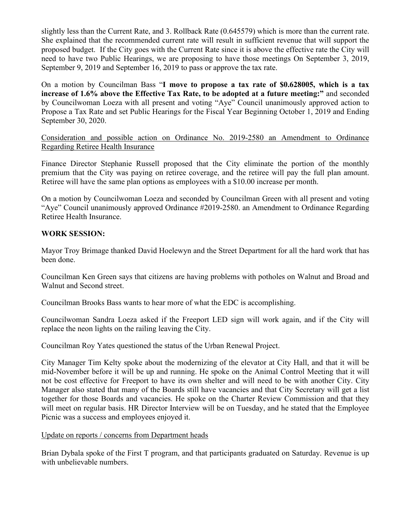slightly less than the Current Rate, and 3. Rollback Rate (0.645579) which is more than the current rate. She explained that the recommended current rate will result in sufficient revenue that will support the proposed budget. If the City goes with the Current Rate since it is above the effective rate the City will need to have two Public Hearings, we are proposing to have those meetings On September 3, 2019, September 9, 2019 and September 16, 2019 to pass or approve the tax rate.

On a motion by Councilman Bass "**I move to propose a tax rate of \$0.628005, which is a tax increase of 1.6% above the Effective Tax Rate, to be adopted at a future meeting:"** and seconded by Councilwoman Loeza with all present and voting "Aye" Council unanimously approved action to Propose a Tax Rate and set Public Hearings for the Fiscal Year Beginning October 1, 2019 and Ending September 30, 2020.

Consideration and possible action on Ordinance No. 2019-2580 an Amendment to Ordinance Regarding Retiree Health Insurance

Finance Director Stephanie Russell proposed that the City eliminate the portion of the monthly premium that the City was paying on retiree coverage, and the retiree will pay the full plan amount. Retiree will have the same plan options as employees with a \$10.00 increase per month.

On a motion by Councilwoman Loeza and seconded by Councilman Green with all present and voting "Aye" Council unanimously approved Ordinance #2019-2580. an Amendment to Ordinance Regarding Retiree Health Insurance.

### **WORK SESSION:**

Mayor Troy Brimage thanked David Hoelewyn and the Street Department for all the hard work that has been done.

Councilman Ken Green says that citizens are having problems with potholes on Walnut and Broad and Walnut and Second street.

Councilman Brooks Bass wants to hear more of what the EDC is accomplishing.

Councilwoman Sandra Loeza asked if the Freeport LED sign will work again, and if the City will replace the neon lights on the railing leaving the City.

Councilman Roy Yates questioned the status of the Urban Renewal Project.

City Manager Tim Kelty spoke about the modernizing of the elevator at City Hall, and that it will be mid-November before it will be up and running. He spoke on the Animal Control Meeting that it will not be cost effective for Freeport to have its own shelter and will need to be with another City. City Manager also stated that many of the Boards still have vacancies and that City Secretary will get a list together for those Boards and vacancies. He spoke on the Charter Review Commission and that they will meet on regular basis. HR Director Interview will be on Tuesday, and he stated that the Employee Picnic was a success and employees enjoyed it.

Update on reports / concerns from Department heads

Brian Dybala spoke of the First T program, and that participants graduated on Saturday. Revenue is up with unbelievable numbers.